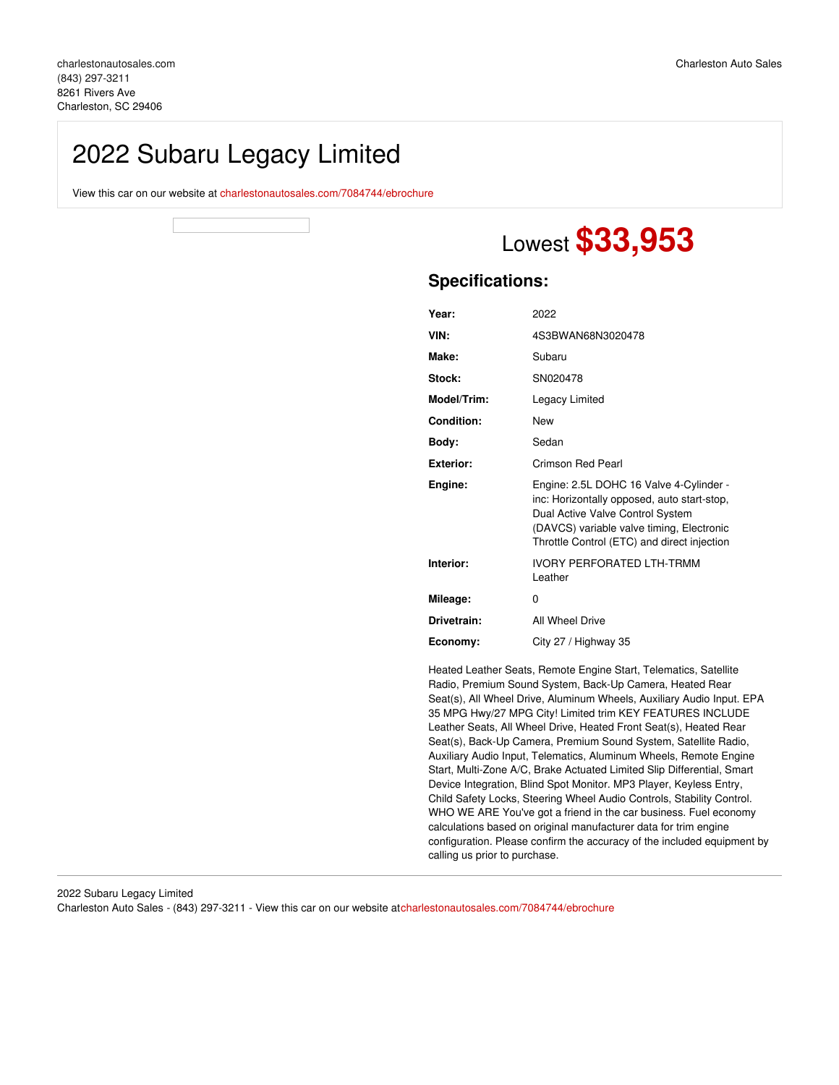## 2022 Subaru Legacy Limited

View this car on our website at [charlestonautosales.com/7084744/ebrochure](https://charlestonautosales.com/vehicle/7084744/2022-subaru-legacy-limited-charleston-sc-29406/7084744/ebrochure)

# Lowest **\$33,953**

## **Specifications:**

| Year:             | 2022                                                                                                                                                                                                                   |
|-------------------|------------------------------------------------------------------------------------------------------------------------------------------------------------------------------------------------------------------------|
| VIN:              | 4S3BWAN68N3020478                                                                                                                                                                                                      |
| Make:             | Subaru                                                                                                                                                                                                                 |
| Stock:            | SN020478                                                                                                                                                                                                               |
| Model/Trim:       | Legacy Limited                                                                                                                                                                                                         |
| <b>Condition:</b> | <b>New</b>                                                                                                                                                                                                             |
| Body:             | Sedan                                                                                                                                                                                                                  |
| <b>Exterior:</b>  | Crimson Red Pearl                                                                                                                                                                                                      |
| Engine:           | Engine: 2.5L DOHC 16 Valve 4-Cylinder -<br>inc: Horizontally opposed, auto start-stop,<br>Dual Active Valve Control System<br>(DAVCS) variable valve timing, Electronic<br>Throttle Control (ETC) and direct injection |
| Interior:         | <b>IVORY PERFORATED LTH-TRMM</b><br>Leather                                                                                                                                                                            |
| Mileage:          | 0                                                                                                                                                                                                                      |
| Drivetrain:       | All Wheel Drive                                                                                                                                                                                                        |
| Economy:          | City 27 / Highway 35                                                                                                                                                                                                   |

Heated Leather Seats, Remote Engine Start, Telematics, Satellite Radio, Premium Sound System, Back-Up Camera, Heated Rear Seat(s), All Wheel Drive, Aluminum Wheels, Auxiliary Audio Input. EPA 35 MPG Hwy/27 MPG City! Limited trim KEY FEATURES INCLUDE Leather Seats, All Wheel Drive, Heated Front Seat(s), Heated Rear Seat(s), Back-Up Camera, Premium Sound System, Satellite Radio, Auxiliary Audio Input, Telematics, Aluminum Wheels, Remote Engine Start, Multi-Zone A/C, Brake Actuated Limited Slip Differential, Smart Device Integration, Blind Spot Monitor. MP3 Player, Keyless Entry, Child Safety Locks, Steering Wheel Audio Controls, Stability Control. WHO WE ARE You've got a friend in the car business. Fuel economy calculations based on original manufacturer data for trim engine configuration. Please confirm the accuracy of the included equipment by calling us prior to purchase.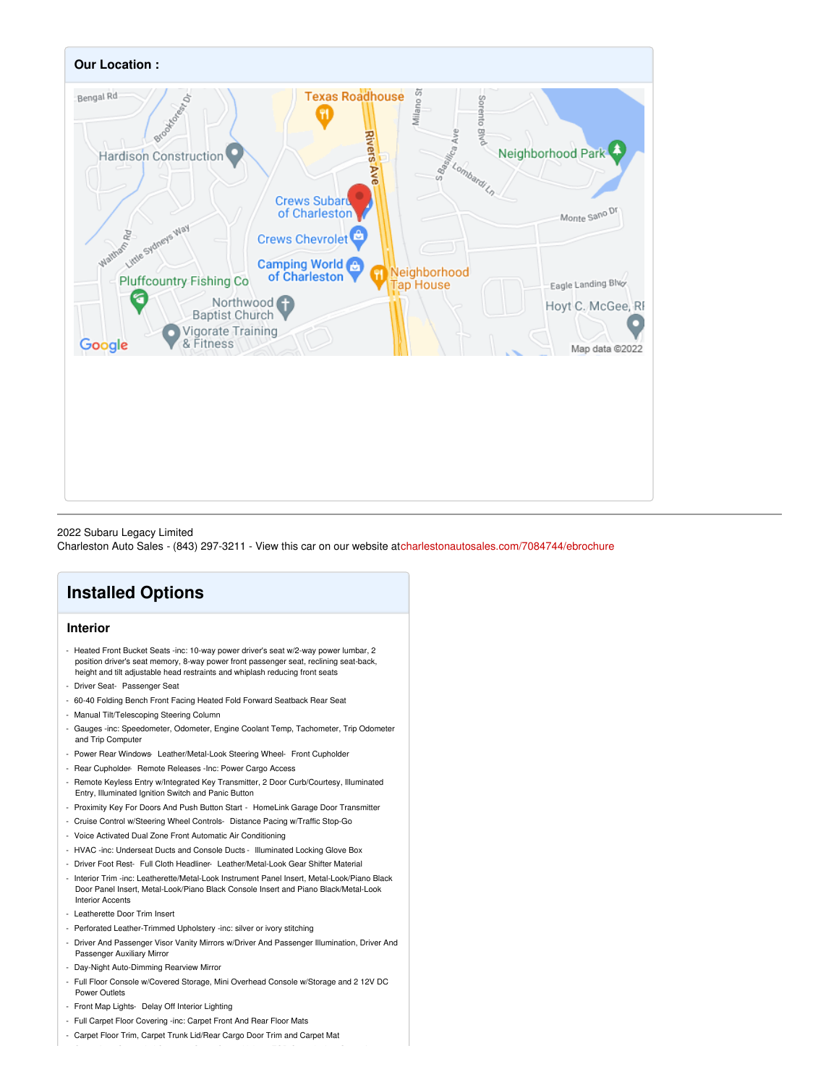

#### 2022 Subaru Legacy Limited

Charleston Auto Sales - (843) 297-3211 - View this car on our website a[tcharlestonautosales.com/7084744/ebrochure](https://charlestonautosales.com/vehicle/7084744/2022-subaru-legacy-limited-charleston-sc-29406/7084744/ebrochure)

## **Installed Options**

## **Interior**

- Heated Front Bucket Seats -inc: 10-way power driver's seat w/2-way power lumbar, 2 position driver's seat memory, 8-way power front passenger seat, reclining seat-back, height and tilt adjustable head restraints and whiplash reducing front seats
- Driver Seat- Passenger Seat
- 60-40 Folding Bench Front Facing Heated Fold Forward Seatback Rear Seat
- Manual Tilt/Telescoping Steering Column
- Gauges -inc: Speedometer, Odometer, Engine Coolant Temp, Tachometer, Trip Odometer and Trip Computer
- Power Rear Windows- Leather/Metal-Look Steering Wheel- Front Cupholder
- Rear Cupholder- Remote Releases -Inc: Power Cargo Access
- Remote Keyless Entry w/Integrated Key Transmitter, 2 Door Curb/Courtesy, Illuminated Entry, Illuminated Ignition Switch and Panic Button
- Proximity Key For Doors And Push Button Start HomeLink Garage Door Transmitter
- Cruise Control w/Steering Wheel Controls- Distance Pacing w/Traffic Stop-Go
- Voice Activated Dual Zone Front Automatic Air Conditioning
- HVAC -inc: Underseat Ducts and Console Ducts Illuminated Locking Glove Box
- Driver Foot Rest- Full Cloth Headliner- Leather/Metal-Look Gear Shifter Material
- Interior Trim -inc: Leatherette/Metal-Look Instrument Panel Insert, Metal-Look/Piano Black Door Panel Insert, Metal-Look/Piano Black Console Insert and Piano Black/Metal-Look Interior Accents
- Leatherette Door Trim Insert
- Perforated Leather-Trimmed Upholstery -inc: silver or ivory stitching
- Driver And Passenger Visor Vanity Mirrors w/Driver And Passenger Illumination, Driver And Passenger Auxiliary Mirror
- Day-Night Auto-Dimming Rearview Mirror
- Full Floor Console w/Covered Storage, Mini Overhead Console w/Storage and 2 12V DC Power Outlets
- Front Map Lights- Delay Off Interior Lighting
- Full Carpet Floor Covering -inc: Carpet Front And Rear Floor Mats
- Carpet Floor Trim, Carpet Trunk Lid/Rear Cargo Door Trim and Carpet Mat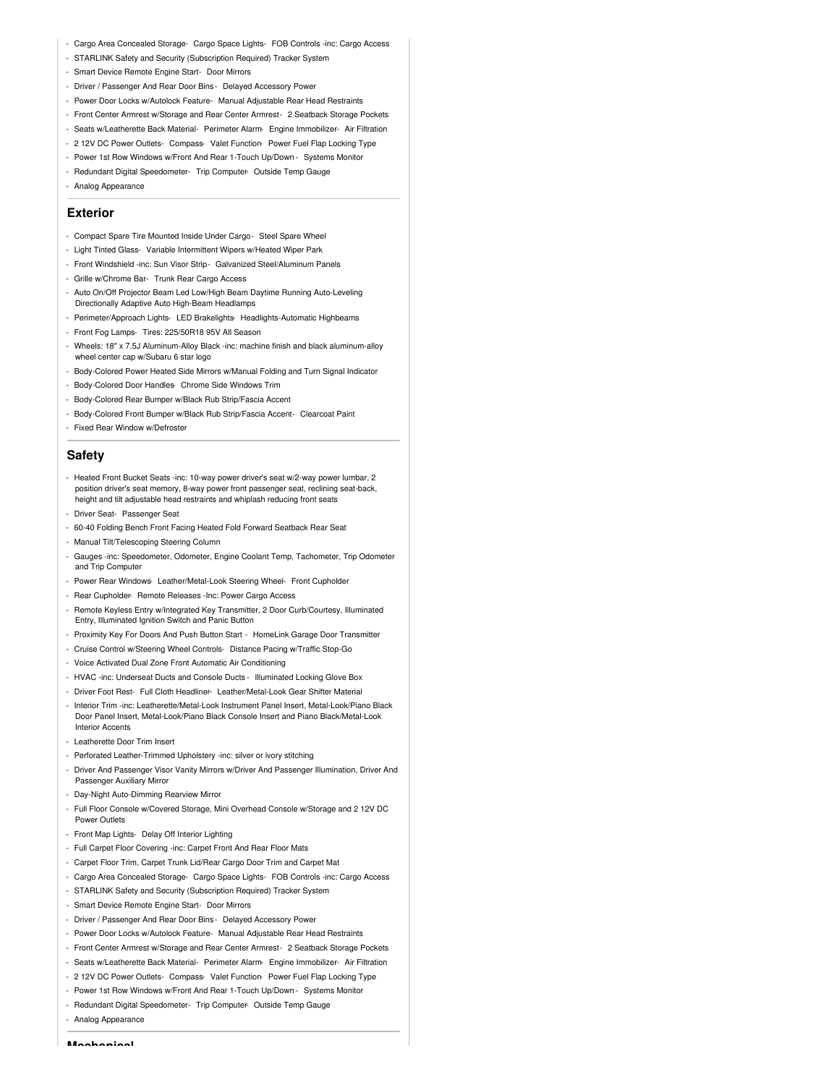- Cargo Area Concealed Storage- Cargo Space Lights- FOB Controls -inc: Cargo Access
- STARLINK Safety and Security (Subscription Required) Tracker System
- Smart Device Remote Engine Start- Door Mirrors
- Driver / Passenger And Rear Door Bins Delayed Accessory Power
- Power Door Locks w/Autolock Feature- Manual Adjustable Rear Head Restraints
- Front Center Armrest w/Storage and Rear Center Armrest- 2 Seatback Storage Pockets
- Seats w/Leatherette Back Material- Perimeter Alarm- Engine Immobilizer- Air Filtration
- 2 12V DC Power Outlets- Compass- Valet Function- Power Fuel Flap Locking Type
- Power 1st Row Windows w/Front And Rear 1-Touch Up/Down Systems Monitor
- Redundant Digital Speedometer- Trip Computer- Outside Temp Gauge
- Analog Appearance

## **Exterior**

- Compact Spare Tire Mounted Inside Under Cargo- Steel Spare Wheel
- Light Tinted Glass- Variable Intermittent Wipers w/Heated Wiper Park
- Front Windshield -inc: Sun Visor Strip- Galvanized Steel/Aluminum Panels
- Grille w/Chrome Bar- Trunk Rear Cargo Access
- Auto On/Off Projector Beam Led Low/High Beam Daytime Running Auto-Leveling Directionally Adaptive Auto High-Beam Headlamps
- Perimeter/Approach Lights- LED Brakelights- Headlights-Automatic Highbeams
- Front Fog Lamps- Tires: 225/50R18 95V All Season
- Wheels: 18" x 7.5J Aluminum-Alloy Black -inc: machine finish and black aluminum-alloy wheel center cap w/Subaru 6 star logo
- Body-Colored Power Heated Side Mirrors w/Manual Folding and Turn Signal Indicator
- Body-Colored Door Handles- Chrome Side Windows Trim
- Body-Colored Rear Bumper w/Black Rub Strip/Fascia Accent
- Body-Colored Front Bumper w/Black Rub Strip/Fascia Accent- Clearcoat Paint
- Fixed Rear Window w/Defroster

### **Safety**

- Heated Front Bucket Seats -inc: 10-way power driver's seat w/2-way power lumbar, 2 position driver's seat memory, 8-way power front passenger seat, reclining seat-back, height and tilt adjustable head restraints and whiplash reducing front seats
- Driver Seat- Passenger Seat
- 60-40 Folding Bench Front Facing Heated Fold Forward Seatback Rear Seat
- Manual Tilt/Telescoping Steering Column
- Gauges -inc: Speedometer, Odometer, Engine Coolant Temp, Tachometer, Trip Odometer and Trip Computer
- Power Rear Windows- Leather/Metal-Look Steering Wheel- Front Cupholder
- Rear Cupholder- Remote Releases -Inc: Power Cargo Access
- Remote Keyless Entry w/Integrated Key Transmitter, 2 Door Curb/Courtesy, Illuminated Entry, Illuminated Ignition Switch and Panic Button
- Proximity Key For Doors And Push Button Start HomeLink Garage Door Transmitter
- Cruise Control w/Steering Wheel Controls- Distance Pacing w/Traffic Stop-Go
- Voice Activated Dual Zone Front Automatic Air Conditioning
- HVAC -inc: Underseat Ducts and Console Ducts Illuminated Locking Glove Box
- Driver Foot Rest- Full Cloth Headliner- Leather/Metal-Look Gear Shifter Material
- Interior Trim -inc: Leatherette/Metal-Look Instrument Panel Insert, Metal-Look/Piano Black Door Panel Insert, Metal-Look/Piano Black Console Insert and Piano Black/Metal-Look Interior Accents
- Leatherette Door Trim Insert
- Perforated Leather-Trimmed Upholstery -inc: silver or ivory stitching
- Driver And Passenger Visor Vanity Mirrors w/Driver And Passenger Illumination, Driver And Passenger Auxiliary Mirro
- Day-Night Auto-Dimming Rearview Mirror
- Full Floor Console w/Covered Storage, Mini Overhead Console w/Storage and 2 12V DC Power Outlets
- Front Map Lights- Delay Off Interior Lighting
- Full Carpet Floor Covering -inc: Carpet Front And Rear Floor Mats
- Carpet Floor Trim, Carpet Trunk Lid/Rear Cargo Door Trim and Carpet Mat
- Cargo Area Concealed Storage- Cargo Space Lights- FOB Controls -inc: Cargo Access
- STARLINK Safety and Security (Subscription Required) Tracker System
- Smart Device Remote Engine Start- Door Mirrors
- Driver / Passenger And Rear Door Bins Delayed Accessory Power
- Power Door Locks w/Autolock Feature- Manual Adjustable Rear Head Restraints
- Front Center Armrest w/Storage and Rear Center Armrest- 2 Seatback Storage Pockets
- Seats w/Leatherette Back Material- Perimeter Alarm- Engine Immobilizer- Air Filtration
- 2 12V DC Power Outlets- Compass- Valet Function- Power Fuel Flap Locking Type
- Power 1st Row Windows w/Front And Rear 1-Touch Up/Down Systems Monitor
- Redundant Digital Speedometer- Trip Computer- Outside Temp Gauge
- Analog Appearance